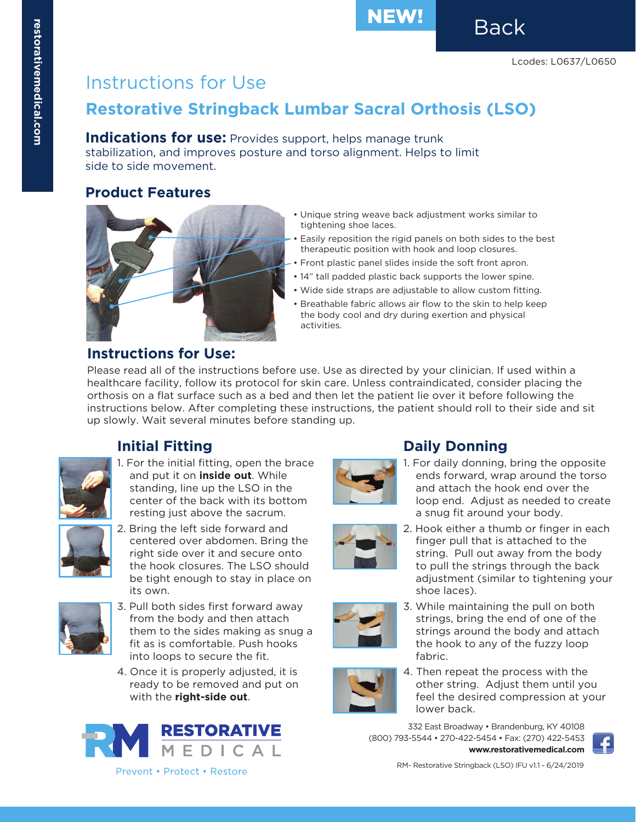# Instructions for Use

## **Restorative Stringback Lumbar Sacral Orthosis (LSO)**

### **Indications for use:** Provides support, helps manage trunk

stabilization, and improves posture and torso alignment. Helps to limit side to side movement.

### **Product Features**



#### • Unique string weave back adjustment works similar to tightening shoe laces.

- Easily reposition the rigid panels on both sides to the best therapeutic position with hook and loop closures.
- Front plastic panel slides inside the soft front apron.
- 14" tall padded plastic back supports the lower spine.
- Wide side straps are adjustable to allow custom fitting.
- Breathable fabric allows air flow to the skin to help keep the body cool and dry during exertion and physical activities.

### **Instructions for Use:**

Please read all of the instructions before use. Use as directed by your clinician. If used within a healthcare facility, follow its protocol for skin care. Unless contraindicated, consider placing the orthosis on a flat surface such as a bed and then let the patient lie over it before following the instructions below. After completing these instructions, the patient should roll to their side and sit up slowly. Wait several minutes before standing up.



### **Initial Fitting**

1. For the initial fitting, open the brace and put it on **inside out**. While standing, line up the LSO in the center of the back with its bottom resting just above the sacrum.



2. Bring the left side forward and centered over abdomen. Bring the right side over it and secure onto the hook closures. The LSO should be tight enough to stay in place on its own.



- 3. Pull both sides first forward away from the body and then attach them to the sides making as snug a fit as is comfortable. Push hooks into loops to secure the fit.
- 4. Once it is properly adjusted, it is ready to be removed and put on with the **right-side out**.





### **Daily Donning**

1. For daily donning, bring the opposite ends forward, wrap around the torso and attach the hook end over the loop end. Adjust as needed to create a snug fit around your body.



2. Hook either a thumb or finger in each finger pull that is attached to the string. Pull out away from the body to pull the strings through the back adjustment (similar to tightening your shoe laces).



3. While maintaining the pull on both strings, bring the end of one of the strings around the body and attach the hook to any of the fuzzy loop fabric.



4. Then repeat the process with the other string. Adjust them until you feel the desired compression at your lower back.

332 East Broadway • Brandenburg, KY 40108 (800) 793-5544 • 270-422-5454 • Fax: (270) 422-5453 **www.restorativemedical.com**



RM- Restorative Stringback (LSO) IFU v1.1 - 6/24/2019